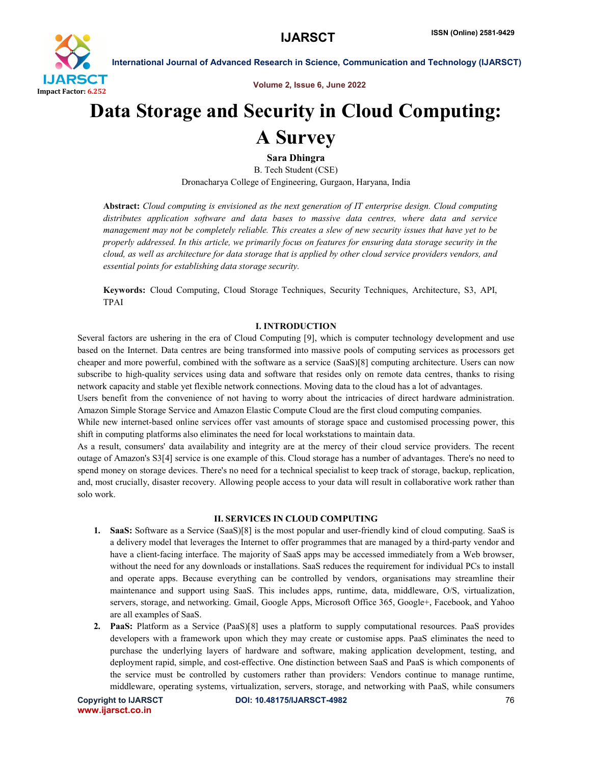

Volume 2, Issue 6, June 2022

# Data Storage and Security in Cloud Computing:

## A Survey

Sara Dhingra

B. Tech Student (CSE) Dronacharya College of Engineering, Gurgaon, Haryana, India

Abstract: *Cloud computing is envisioned as the next generation of IT enterprise design. Cloud computing distributes application software and data bases to massive data centres, where data and service management may not be completely reliable. This creates a slew of new security issues that have yet to be properly addressed. In this article, we primarily focus on features for ensuring data storage security in the cloud, as well as architecture for data storage that is applied by other cloud service providers vendors, and essential points for establishing data storage security.*

Keywords: Cloud Computing, Cloud Storage Techniques, Security Techniques, Architecture, S3, API, TPAI

#### I. INTRODUCTION

Several factors are ushering in the era of Cloud Computing [9], which is computer technology development and use based on the Internet. Data centres are being transformed into massive pools of computing services as processors get cheaper and more powerful, combined with the software as a service (SaaS)[8] computing architecture. Users can now subscribe to high-quality services using data and software that resides only on remote data centres, thanks to rising network capacity and stable yet flexible network connections. Moving data to the cloud has a lot of advantages.

Users benefit from the convenience of not having to worry about the intricacies of direct hardware administration. Amazon Simple Storage Service and Amazon Elastic Compute Cloud are the first cloud computing companies.

While new internet-based online services offer vast amounts of storage space and customised processing power, this shift in computing platforms also eliminates the need for local workstations to maintain data.

As a result, consumers' data availability and integrity are at the mercy of their cloud service providers. The recent outage of Amazon's S3[4] service is one example of this. Cloud storage has a number of advantages. There's no need to spend money on storage devices. There's no need for a technical specialist to keep track of storage, backup, replication, and, most crucially, disaster recovery. Allowing people access to your data will result in collaborative work rather than solo work.

#### II. SERVICES IN CLOUD COMPUTING

- 1. SaaS: Software as a Service (SaaS)[8] is the most popular and user-friendly kind of cloud computing. SaaS is a delivery model that leverages the Internet to offer programmes that are managed by a third-party vendor and have a client-facing interface. The majority of SaaS apps may be accessed immediately from a Web browser, without the need for any downloads or installations. SaaS reduces the requirement for individual PCs to install and operate apps. Because everything can be controlled by vendors, organisations may streamline their maintenance and support using SaaS. This includes apps, runtime, data, middleware, O/S, virtualization, servers, storage, and networking. Gmail, Google Apps, Microsoft Office 365, Google+, Facebook, and Yahoo are all examples of SaaS.
- 2. PaaS: Platform as a Service (PaaS)[8] uses a platform to supply computational resources. PaaS provides developers with a framework upon which they may create or customise apps. PaaS eliminates the need to purchase the underlying layers of hardware and software, making application development, testing, and deployment rapid, simple, and cost-effective. One distinction between SaaS and PaaS is which components of the service must be controlled by customers rather than providers: Vendors continue to manage runtime, middleware, operating systems, virtualization, servers, storage, and networking with PaaS, while consumers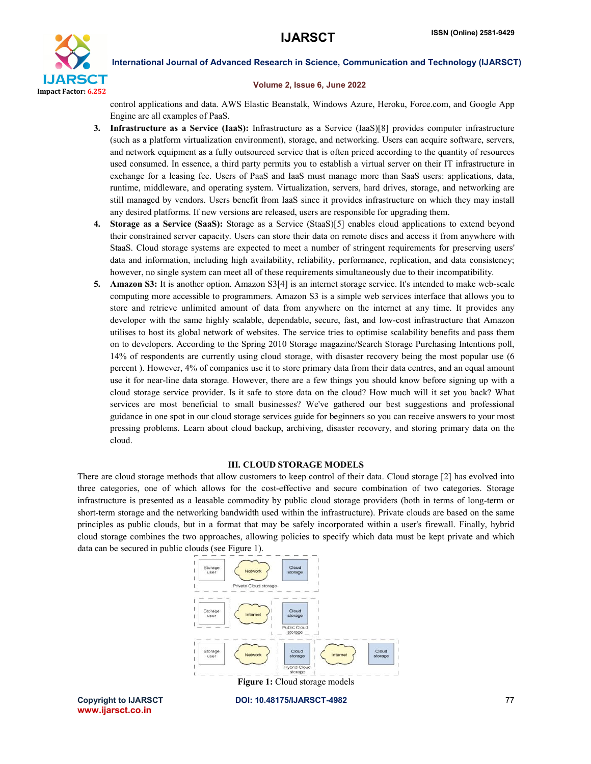

#### Volume 2, Issue 6, June 2022

control applications and data. AWS Elastic Beanstalk, Windows Azure, Heroku, Force.com, and Google App Engine are all examples of PaaS.

- 3. Infrastructure as a Service (IaaS): Infrastructure as a Service (IaaS)[8] provides computer infrastructure (such as a platform virtualization environment), storage, and networking. Users can acquire software, servers, and network equipment as a fully outsourced service that is often priced according to the quantity of resources used consumed. In essence, a third party permits you to establish a virtual server on their IT infrastructure in exchange for a leasing fee. Users of PaaS and IaaS must manage more than SaaS users: applications, data, runtime, middleware, and operating system. Virtualization, servers, hard drives, storage, and networking are still managed by vendors. Users benefit from IaaS since it provides infrastructure on which they may install any desired platforms. If new versions are released, users are responsible for upgrading them.
- 4. Storage as a Service (SaaS): Storage as a Service (StaaS)[5] enables cloud applications to extend beyond their constrained server capacity. Users can store their data on remote discs and access it from anywhere with StaaS. Cloud storage systems are expected to meet a number of stringent requirements for preserving users' data and information, including high availability, reliability, performance, replication, and data consistency; however, no single system can meet all of these requirements simultaneously due to their incompatibility.
- 5. Amazon S3: It is another option. Amazon S3[4] is an internet storage service. It's intended to make web-scale computing more accessible to programmers. Amazon S3 is a simple web services interface that allows you to store and retrieve unlimited amount of data from anywhere on the internet at any time. It provides any developer with the same highly scalable, dependable, secure, fast, and low-cost infrastructure that Amazon utilises to host its global network of websites. The service tries to optimise scalability benefits and pass them on to developers. According to the Spring 2010 Storage magazine/Search Storage Purchasing Intentions poll, 14% of respondents are currently using cloud storage, with disaster recovery being the most popular use (6 percent ). However, 4% of companies use it to store primary data from their data centres, and an equal amount use it for near-line data storage. However, there are a few things you should know before signing up with a cloud storage service provider. Is it safe to store data on the cloud? How much will it set you back? What services are most beneficial to small businesses? We've gathered our best suggestions and professional guidance in one spot in our cloud storage services guide for beginners so you can receive answers to your most pressing problems. Learn about cloud backup, archiving, disaster recovery, and storing primary data on the cloud.

#### III. CLOUD STORAGE MODELS

There are cloud storage methods that allow customers to keep control of their data. Cloud storage [2] has evolved into three categories, one of which allows for the cost-effective and secure combination of two categories. Storage infrastructure is presented as a leasable commodity by public cloud storage providers (both in terms of long-term or short-term storage and the networking bandwidth used within the infrastructure). Private clouds are based on the same principles as public clouds, but in a format that may be safely incorporated within a user's firewall. Finally, hybrid cloud storage combines the two approaches, allowing policies to specify which data must be kept private and which data can be secured in public clouds (see Figure 1).



www.ijarsct.co.in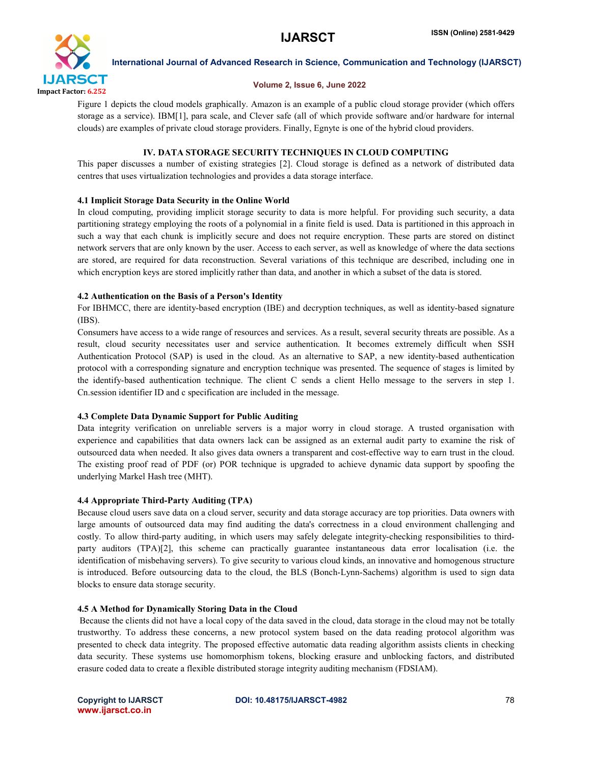

#### Volume 2, Issue 6, June 2022

Figure 1 depicts the cloud models graphically. Amazon is an example of a public cloud storage provider (which offers storage as a service). IBM[1], para scale, and Clever safe (all of which provide software and/or hardware for internal clouds) are examples of private cloud storage providers. Finally, Egnyte is one of the hybrid cloud providers.

## IV. DATA STORAGE SECURITY TECHNIQUES IN CLOUD COMPUTING

This paper discusses a number of existing strategies [2]. Cloud storage is defined as a network of distributed data centres that uses virtualization technologies and provides a data storage interface.

## 4.1 Implicit Storage Data Security in the Online World

In cloud computing, providing implicit storage security to data is more helpful. For providing such security, a data partitioning strategy employing the roots of a polynomial in a finite field is used. Data is partitioned in this approach in such a way that each chunk is implicitly secure and does not require encryption. These parts are stored on distinct network servers that are only known by the user. Access to each server, as well as knowledge of where the data sections are stored, are required for data reconstruction. Several variations of this technique are described, including one in which encryption keys are stored implicitly rather than data, and another in which a subset of the data is stored.

## 4.2 Authentication on the Basis of a Person's Identity

For IBHMCC, there are identity-based encryption (IBE) and decryption techniques, as well as identity-based signature (IBS).

Consumers have access to a wide range of resources and services. As a result, several security threats are possible. As a result, cloud security necessitates user and service authentication. It becomes extremely difficult when SSH Authentication Protocol (SAP) is used in the cloud. As an alternative to SAP, a new identity-based authentication protocol with a corresponding signature and encryption technique was presented. The sequence of stages is limited by the identify-based authentication technique. The client C sends a client Hello message to the servers in step 1. Cn.session identifier ID and c specification are included in the message.

## 4.3 Complete Data Dynamic Support for Public Auditing

Data integrity verification on unreliable servers is a major worry in cloud storage. A trusted organisation with experience and capabilities that data owners lack can be assigned as an external audit party to examine the risk of outsourced data when needed. It also gives data owners a transparent and cost-effective way to earn trust in the cloud. The existing proof read of PDF (or) POR technique is upgraded to achieve dynamic data support by spoofing the underlying Markel Hash tree (MHT).

## 4.4 Appropriate Third-Party Auditing (TPA)

Because cloud users save data on a cloud server, security and data storage accuracy are top priorities. Data owners with large amounts of outsourced data may find auditing the data's correctness in a cloud environment challenging and costly. To allow third-party auditing, in which users may safely delegate integrity-checking responsibilities to thirdparty auditors (TPA)[2], this scheme can practically guarantee instantaneous data error localisation (i.e. the identification of misbehaving servers). To give security to various cloud kinds, an innovative and homogenous structure is introduced. Before outsourcing data to the cloud, the BLS (Bonch-Lynn-Sachems) algorithm is used to sign data blocks to ensure data storage security.

## 4.5 A Method for Dynamically Storing Data in the Cloud

Because the clients did not have a local copy of the data saved in the cloud, data storage in the cloud may not be totally trustworthy. To address these concerns, a new protocol system based on the data reading protocol algorithm was presented to check data integrity. The proposed effective automatic data reading algorithm assists clients in checking data security. These systems use homomorphism tokens, blocking erasure and unblocking factors, and distributed erasure coded data to create a flexible distributed storage integrity auditing mechanism (FDSIAM).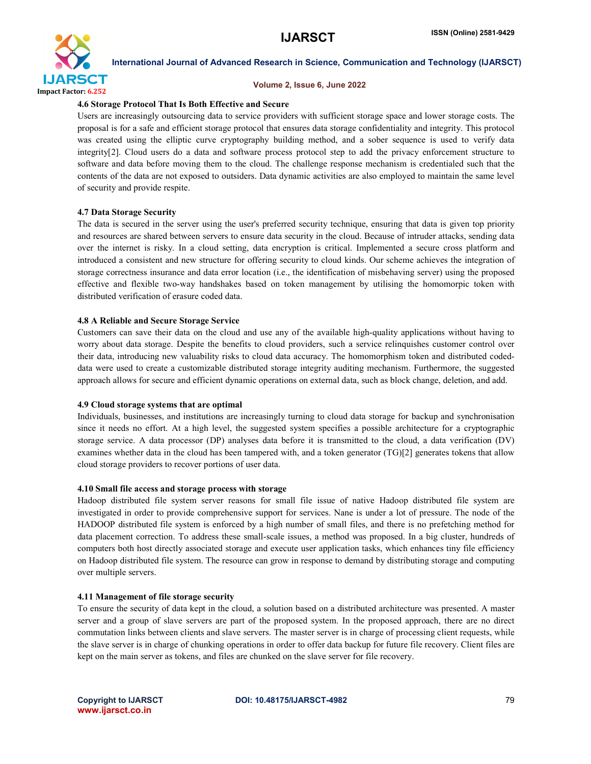

#### Volume 2, Issue 6, June 2022

#### 4.6 Storage Protocol That Is Both Effective and Secure

Users are increasingly outsourcing data to service providers with sufficient storage space and lower storage costs. The proposal is for a safe and efficient storage protocol that ensures data storage confidentiality and integrity. This protocol was created using the elliptic curve cryptography building method, and a sober sequence is used to verify data integrity[2]. Cloud users do a data and software process protocol step to add the privacy enforcement structure to software and data before moving them to the cloud. The challenge response mechanism is credentialed such that the contents of the data are not exposed to outsiders. Data dynamic activities are also employed to maintain the same level of security and provide respite.

#### 4.7 Data Storage Security

The data is secured in the server using the user's preferred security technique, ensuring that data is given top priority and resources are shared between servers to ensure data security in the cloud. Because of intruder attacks, sending data over the internet is risky. In a cloud setting, data encryption is critical. Implemented a secure cross platform and introduced a consistent and new structure for offering security to cloud kinds. Our scheme achieves the integration of storage correctness insurance and data error location (i.e., the identification of misbehaving server) using the proposed effective and flexible two-way handshakes based on token management by utilising the homomorpic token with distributed verification of erasure coded data.

#### 4.8 A Reliable and Secure Storage Service

Customers can save their data on the cloud and use any of the available high-quality applications without having to worry about data storage. Despite the benefits to cloud providers, such a service relinquishes customer control over their data, introducing new valuability risks to cloud data accuracy. The homomorphism token and distributed codeddata were used to create a customizable distributed storage integrity auditing mechanism. Furthermore, the suggested approach allows for secure and efficient dynamic operations on external data, such as block change, deletion, and add.

#### 4.9 Cloud storage systems that are optimal

Individuals, businesses, and institutions are increasingly turning to cloud data storage for backup and synchronisation since it needs no effort. At a high level, the suggested system specifies a possible architecture for a cryptographic storage service. A data processor (DP) analyses data before it is transmitted to the cloud, a data verification (DV) examines whether data in the cloud has been tampered with, and a token generator (TG)[2] generates tokens that allow cloud storage providers to recover portions of user data.

#### 4.10 Small file access and storage process with storage

Hadoop distributed file system server reasons for small file issue of native Hadoop distributed file system are investigated in order to provide comprehensive support for services. Nane is under a lot of pressure. The node of the HADOOP distributed file system is enforced by a high number of small files, and there is no prefetching method for data placement correction. To address these small-scale issues, a method was proposed. In a big cluster, hundreds of computers both host directly associated storage and execute user application tasks, which enhances tiny file efficiency on Hadoop distributed file system. The resource can grow in response to demand by distributing storage and computing over multiple servers.

#### 4.11 Management of file storage security

To ensure the security of data kept in the cloud, a solution based on a distributed architecture was presented. A master server and a group of slave servers are part of the proposed system. In the proposed approach, there are no direct commutation links between clients and slave servers. The master server is in charge of processing client requests, while the slave server is in charge of chunking operations in order to offer data backup for future file recovery. Client files are kept on the main server as tokens, and files are chunked on the slave server for file recovery.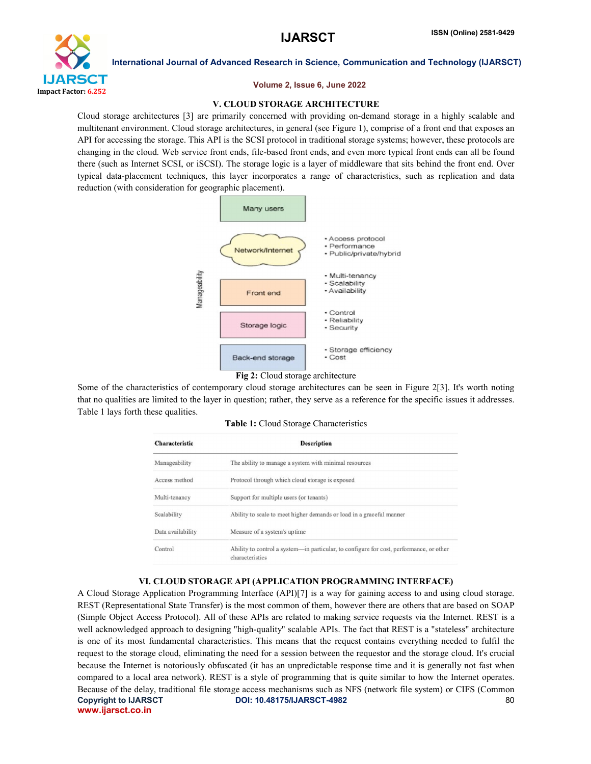

#### Volume 2, Issue 6, June 2022

#### V. CLOUD STORAGE ARCHITECTURE

Cloud storage architectures [3] are primarily concerned with providing on-demand storage in a highly scalable and multitenant environment. Cloud storage architectures, in general (see Figure 1), comprise of a front end that exposes an API for accessing the storage. This API is the SCSI protocol in traditional storage systems; however, these protocols are changing in the cloud. Web service front ends, file-based front ends, and even more typical front ends can all be found there (such as Internet SCSI, or iSCSI). The storage logic is a layer of middleware that sits behind the front end. Over typical data-placement techniques, this layer incorporates a range of characteristics, such as replication and data reduction (with consideration for geographic placement).



#### Fig 2: Cloud storage architecture

Some of the characteristics of contemporary cloud storage architectures can be seen in Figure 2[3]. It's worth noting that no qualities are limited to the layer in question; rather, they serve as a reference for the specific issues it addresses. Table 1 lays forth these qualities.

|  |  |  | Table 1: Cloud Storage Characteristics |
|--|--|--|----------------------------------------|
|--|--|--|----------------------------------------|

| <b>Characteristic</b> | <b>Description</b>                                                                                         |  |  |
|-----------------------|------------------------------------------------------------------------------------------------------------|--|--|
| Manageability         | The ability to manage a system with minimal resources                                                      |  |  |
| Access method         | Protocol through which cloud storage is exposed                                                            |  |  |
| Multi-tenancy         | Support for multiple users (or tenants)                                                                    |  |  |
| Scalability           | Ability to scale to meet higher demands or load in a graceful manner                                       |  |  |
| Data availability     | Measure of a system's uptime                                                                               |  |  |
| Control               | Ability to control a system-in particular, to configure for cost, performance, or other<br>characteristics |  |  |

#### VI. CLOUD STORAGE API (APPLICATION PROGRAMMING INTERFACE)

Copyright to IJARSCT DOI: 10.48175/IJARSCT-4982 **80** www.ijarsct.co.in A Cloud Storage Application Programming Interface (API)[7] is a way for gaining access to and using cloud storage. REST (Representational State Transfer) is the most common of them, however there are others that are based on SOAP (Simple Object Access Protocol). All of these APIs are related to making service requests via the Internet. REST is a well acknowledged approach to designing "high-quality" scalable APIs. The fact that REST is a "stateless" architecture is one of its most fundamental characteristics. This means that the request contains everything needed to fulfil the request to the storage cloud, eliminating the need for a session between the requestor and the storage cloud. It's crucial because the Internet is notoriously obfuscated (it has an unpredictable response time and it is generally not fast when compared to a local area network). REST is a style of programming that is quite similar to how the Internet operates. Because of the delay, traditional file storage access mechanisms such as NFS (network file system) or CIFS (Common